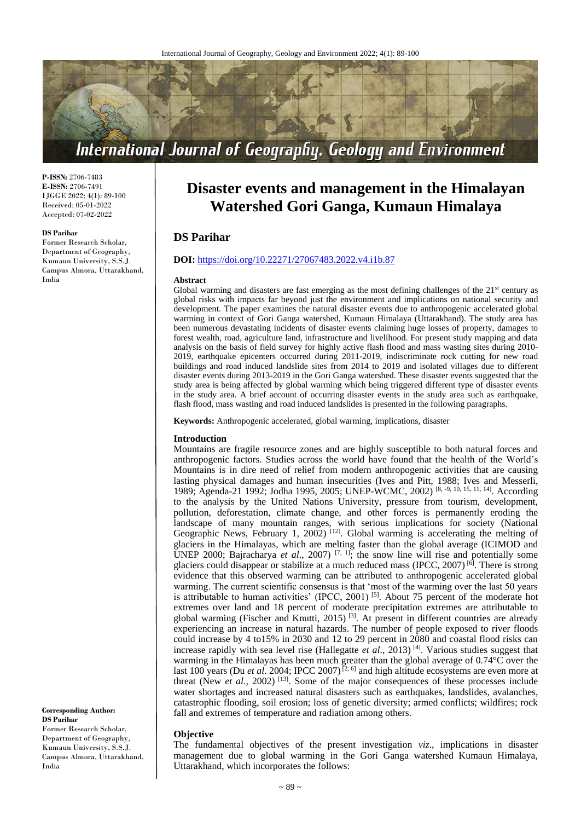

**P-ISSN:** 2706-7483 **E-ISSN:** 2706-7491 IJGGE 2022; 4(1): 89-100 Received: 05-01-2022 Accepted: 07-02-2022

#### **DS Parihar**

Former Research Scholar, Department of Geography, Kumaun University, S.S.J. Campus Almora, Uttarakhand, India

**Disaster events and management in the Himalayan Watershed Gori Ganga, Kumaun Himalaya**

# **DS Parihar**

#### **DOI:** <https://doi.org/10.22271/27067483.2022.v4.i1b.87>

#### **Abstract**

Global warming and disasters are fast emerging as the most defining challenges of the  $21<sup>st</sup>$  century as global risks with impacts far beyond just the environment and implications on national security and development. The paper examines the natural disaster events due to anthropogenic accelerated global warming in context of Gori Ganga watershed, Kumaun Himalaya (Uttarakhand). The study area has been numerous devastating incidents of disaster events claiming huge losses of property, damages to forest wealth, road, agriculture land, infrastructure and livelihood. For present study mapping and data analysis on the basis of field survey for highly active flash flood and mass wasting sites during 2010- 2019, earthquake epicenters occurred during 2011-2019, indiscriminate rock cutting for new road buildings and road induced landslide sites from 2014 to 2019 and isolated villages due to different disaster events during 2013-2019 in the Gori Ganga watershed. These disaster events suggested that the study area is being affected by global warming which being triggered different type of disaster events in the study area. A brief account of occurring disaster events in the study area such as earthquake, flash flood, mass wasting and road induced landslides is presented in the following paragraphs.

**Keywords:** Anthropogenic accelerated, global warming, implications, disaster

#### **Introduction**

Mountains are fragile resource zones and are highly susceptible to both natural forces and anthropogenic factors. Studies across the world have found that the health of the World's Mountains is in dire need of relief from modern anthropogenic activities that are causing lasting physical damages and human insecurities (Ives and Pitt, 1988; Ives and Messerli, 1989; Agenda-21 1992; Jodha 1995, 2005; UNEP-WCMC, 2002)<sup>[8, -9, 10, 15, 11, 14]</sup>. According to the analysis by the United Nations University, pressure from tourism, development, pollution, deforestation, climate change, and other forces is permanently eroding the landscape of many mountain ranges, with serious implications for society (National Geographic News, February 1, 2002)<sup>[12]</sup>. Global warming is accelerating the melting of glaciers in the Himalayas, which are melting faster than the global average (ICIMOD and UNEP 2000; Bajracharya *et al.*, 2007)<sup>[7, 1]</sup>; the snow line will rise and potentially some glaciers could disappear or stabilize at a much reduced mass (IPCC, 2007)<sup>[6]</sup>. There is strong evidence that this observed warming can be attributed to anthropogenic accelerated global warming. The current scientific consensus is that 'most of the warming over the last 50 years is attributable to human activities' (IPCC, 2001)<sup>[5]</sup>. About 75 percent of the moderate hot extremes over land and 18 percent of moderate precipitation extremes are attributable to global warming (Fischer and Knutti, 2015)<sup>[3]</sup>. At present in different countries are already experiencing an increase in natural hazards. The number of people exposed to river floods could increase by 4 to15% in 2030 and 12 to 29 percent in 2080 and coastal flood risks can increase rapidly with sea level rise (Hallegatte *et al*., 2013) [4] . Various studies suggest that warming in the Himalayas has been much greater than the global average of 0.74°C over the last 100 years (Du *et al.* 2004; IPCC 2007)<sup>[2, 6]</sup> and high altitude ecosystems are even more at threat (New *et al.*, 2002)<sup>[13]</sup>. Some of the major consequences of these processes include water shortages and increased natural disasters such as earthquakes, landslides, avalanches, catastrophic flooding, soil erosion; loss of genetic diversity; armed conflicts; wildfires; rock fall and extremes of temperature and radiation among others.

### **Objective**

The fundamental objectives of the present investigation *viz*., implications in disaster management due to global warming in the Gori Ganga watershed Kumaun Himalaya, Uttarakhand, which incorporates the follows: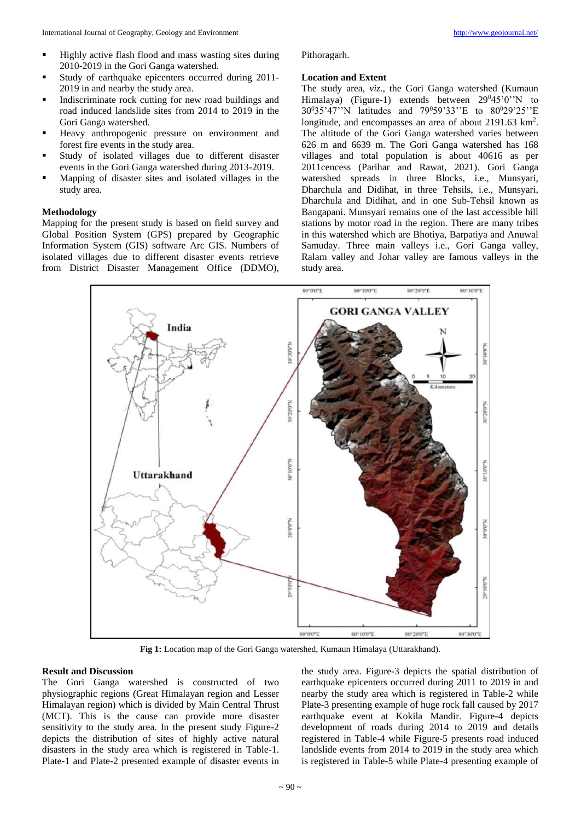- Highly active flash flood and mass wasting sites during 2010-2019 in the Gori Ganga watershed.
- Study of earthquake epicenters occurred during 2011- 2019 in and nearby the study area.
- Indiscriminate rock cutting for new road buildings and road induced landslide sites from 2014 to 2019 in the Gori Ganga watershed.
- Heavy anthropogenic pressure on environment and forest fire events in the study area.
- Study of isolated villages due to different disaster events in the Gori Ganga watershed during 2013-2019.
- Mapping of disaster sites and isolated villages in the study area.

# **Methodology**

Mapping for the present study is based on field survey and Global Position System (GPS) prepared by Geographic Information System (GIS) software Arc GIS. Numbers of isolated villages due to different disaster events retrieve from District Disaster Management Office (DDMO), Pithoragarh.

#### **Location and Extent**

The study area, *viz*., the Gori Ganga watershed (Kumaun Himalaya) (Figure-1) extends between  $29^045'0''N$  to 30°35'47''N latitudes and 79°59'33''E to 80°29'25''E longitude, and encompasses an area of about 2191.63 km<sup>2</sup>. The altitude of the Gori Ganga watershed varies between 626 m and 6639 m. The Gori Ganga watershed has 168 villages and total population is about 40616 as per 2011cencess (Parihar and Rawat, 2021). Gori Ganga watershed spreads in three Blocks, i.e., Munsyari, Dharchula and Didihat, in three Tehsils, i.e., Munsyari, Dharchula and Didihat, and in one Sub-Tehsil known as Bangapani. Munsyari remains one of the last accessible hill stations by motor road in the region. There are many tribes in this watershed which are Bhotiya, Barpatiya and Anuwal Samuday. Three main valleys i.e., Gori Ganga valley, Ralam valley and Johar valley are famous valleys in the study area.



**Fig 1:** Location map of the Gori Ganga watershed, Kumaun Himalaya (Uttarakhand).

# **Result and Discussion**

The Gori Ganga watershed is constructed of two physiographic regions (Great Himalayan region and Lesser Himalayan region) which is divided by Main Central Thrust (MCT). This is the cause can provide more disaster sensitivity to the study area. In the present study Figure-2 depicts the distribution of sites of highly active natural disasters in the study area which is registered in Table-1. Plate-1 and Plate-2 presented example of disaster events in

the study area. Figure-3 depicts the spatial distribution of earthquake epicenters occurred during 2011 to 2019 in and nearby the study area which is registered in Table-2 while Plate-3 presenting example of huge rock fall caused by 2017 earthquake event at Kokila Mandir. Figure-4 depicts development of roads during 2014 to 2019 and details registered in Table-4 while Figure-5 presents road induced landslide events from 2014 to 2019 in the study area which is registered in Table-5 while Plate-4 presenting example of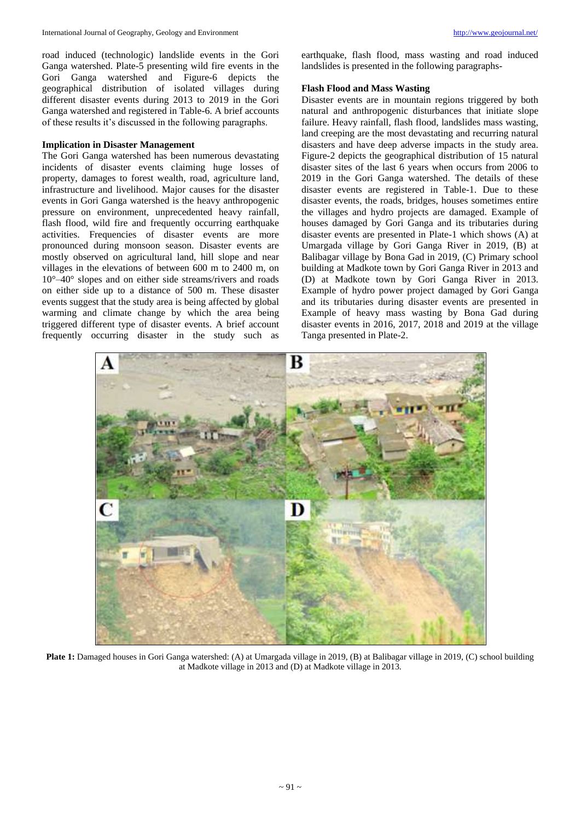road induced (technologic) landslide events in the Gori Ganga watershed. Plate-5 presenting wild fire events in the Gori Ganga watershed and Figure-6 depicts the geographical distribution of isolated villages during different disaster events during 2013 to 2019 in the Gori Ganga watershed and registered in Table-6. A brief accounts of these results it's discussed in the following paragraphs.

### **Implication in Disaster Management**

The Gori Ganga watershed has been numerous devastating incidents of disaster events claiming huge losses of property, damages to forest wealth, road, agriculture land, infrastructure and livelihood. Major causes for the disaster events in Gori Ganga watershed is the heavy anthropogenic pressure on environment, unprecedented heavy rainfall, flash flood, wild fire and frequently occurring earthquake activities. Frequencies of disaster events are more pronounced during monsoon season. Disaster events are mostly observed on agricultural land, hill slope and near villages in the elevations of between 600 m to 2400 m, on 10°–40° slopes and on either side streams/rivers and roads on either side up to a distance of 500 m. These disaster events suggest that the study area is being affected by global warming and climate change by which the area being triggered different type of disaster events. A brief account frequently occurring disaster in the study such as earthquake, flash flood, mass wasting and road induced landslides is presented in the following paragraphs-

### **Flash Flood and Mass Wasting**

Disaster events are in mountain regions triggered by both natural and anthropogenic disturbances that initiate slope failure. Heavy rainfall, flash flood, landslides mass wasting, land creeping are the most devastating and recurring natural disasters and have deep adverse impacts in the study area. Figure-2 depicts the geographical distribution of 15 natural disaster sites of the last 6 years when occurs from 2006 to 2019 in the Gori Ganga watershed. The details of these disaster events are registered in Table-1. Due to these disaster events, the roads, bridges, houses sometimes entire the villages and hydro projects are damaged. Example of houses damaged by Gori Ganga and its tributaries during disaster events are presented in Plate-1 which shows (A) at Umargada village by Gori Ganga River in 2019, (B) at Balibagar village by Bona Gad in 2019, (C) Primary school building at Madkote town by Gori Ganga River in 2013 and (D) at Madkote town by Gori Ganga River in 2013. Example of hydro power project damaged by Gori Ganga and its tributaries during disaster events are presented in Example of heavy mass wasting by Bona Gad during disaster events in 2016, 2017, 2018 and 2019 at the village Tanga presented in Plate-2.



**Plate 1:** Damaged houses in Gori Ganga watershed: (A) at Umargada village in 2019, (B) at Balibagar village in 2019, (C) school building at Madkote village in 2013 and (D) at Madkote village in 2013.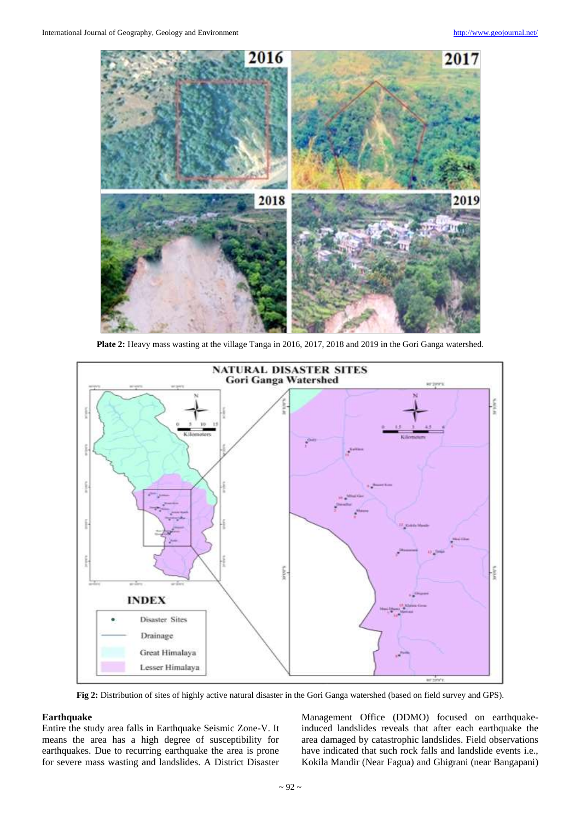

**Plate 2:** Heavy mass wasting at the village Tanga in 2016, 2017, 2018 and 2019 in the Gori Ganga watershed.



**Fig 2:** Distribution of sites of highly active natural disaster in the Gori Ganga watershed (based on field survey and GPS).

# **Earthquake**

Entire the study area falls in Earthquake Seismic Zone-V. It means the area has a high degree of susceptibility for earthquakes. Due to recurring earthquake the area is prone for severe mass wasting and landslides. A District Disaster

Management Office (DDMO) focused on earthquakeinduced landslides reveals that after each earthquake the area damaged by catastrophic landslides. Field observations have indicated that such rock falls and landslide events i.e., Kokila Mandir (Near Fagua) and Ghigrani (near Bangapani)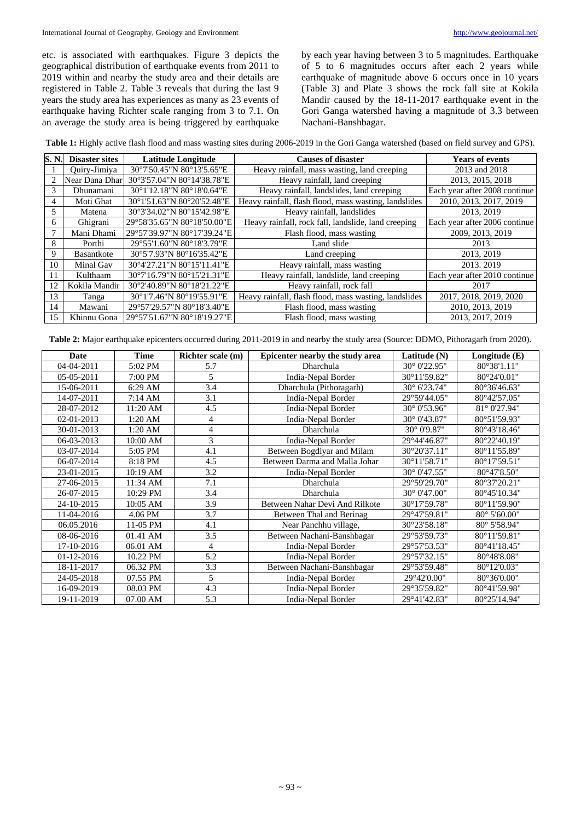etc. is associated with earthquakes. Figure 3 depicts the geographical distribution of earthquake events from 2011 to 2019 within and nearby the study area and their details are registered in Table 2. Table 3 reveals that during the last 9 years the study area has experiences as many as 23 events of earthquake having Richter scale ranging from 3 to 7.1. On an average the study area is being triggered by earthquake by each year having between 3 to 5 magnitudes. Earthquake of 5 to 6 magnitudes occurs after each 2 years while earthquake of magnitude above 6 occurs once in 10 years (Table 3) and Plate 3 shows the rock fall site at Kokila Mandir caused by the 18-11-2017 earthquake event in the Gori Ganga watershed having a magnitude of 3.3 between Nachani-Banshbagar.

**Table 1:** Highly active flash flood and mass wasting sites during 2006-2019 in the Gori Ganga watershed (based on field survey and GPS).

| <b>S. N.</b> | <b>Disaster sites</b> | Latitude Longitude          | <b>Causes of disaster</b>                             | <b>Years of events</b>        |
|--------------|-----------------------|-----------------------------|-------------------------------------------------------|-------------------------------|
|              | Quiry-Jimiya          | 30°7'50.45"N 80°13'5.65"E   | Heavy rainfall, mass wasting, land creeping           | 2013 and 2018                 |
| 2            | Near Dana Dhar        | 30°3'57.04"N 80°14'38.78"E  | Heavy rainfall, land creeping                         | 2013, 2015, 2018              |
| 3            | Dhunamani             | 30°1'12.18"N 80°18'0.64"E   | Heavy rainfall, landslides, land creeping             | Each year after 2008 continue |
| 4            | Moti Ghat             | 30°1'51.63"N 80°20'52.48"E  | Heavy rainfall, flash flood, mass wasting, landslides | 2010, 2013, 2017, 2019        |
| 5            | Matena                | 30°3'34.02"N 80°15'42.98"E  | Heavy rainfall, landslides                            | 2013, 2019                    |
| 6            | Ghigrani              | 29°58'35.65"N 80°18'50.00"E | Heavy rainfall, rock fall, landslide, land creeping   | Each year after 2006 continue |
|              | Mani Dhami            | 29°57'39.97"N 80°17'39.24"E | Flash flood, mass wasting                             | 2009, 2013, 2019              |
| 8            | Porthi                | 29°55'1.60"N 80°18'3.79"E   | Land slide                                            | 2013                          |
| 9            | <b>Basantkote</b>     | 30°5'7.93"N 80°16'35.42"E   | Land creeping                                         | 2013, 2019                    |
| 10           | Minal Gav             | 30°4'27.21"N 80°15'11.41"E  | Heavy rainfall, mass wasting                          | 2013.2019                     |
| 11           | Kulthaam              | 30°7'16.79"N 80°15'21.31"E  | Heavy rainfall, landslide, land creeping              | Each year after 2010 continue |
| 12           | Kokila Mandir         | 30°2'40.89"N 80°18'21.22"E  | Heavy rainfall, rock fall                             | 2017                          |
| 13           | Tanga                 | 30°17.46"N 80°19'55.91"E    | Heavy rainfall, flash flood, mass wasting, landslides | 2017, 2018, 2019, 2020        |
| 14           | Mawani                | 29°57'29.57"N 80°18'3.40"E  | Flash flood, mass wasting                             | 2010, 2013, 2019              |
| 15           | Khinnu Gona           | 29°57'51.67"N 80°18'19.27"E | Flash flood, mass wasting                             | 2013, 2017, 2019              |

**Table 2:** Major earthquake epicenters occurred during 2011-2019 in and nearby the study area (Source: DDMO, Pithoragarh from 2020).

| <b>Date</b>  | <b>Time</b> | Richter scale (m) | Epicenter nearby the study area | Latitude (N) | Longitude (E)        |
|--------------|-------------|-------------------|---------------------------------|--------------|----------------------|
| 04-04-2011   | 5:02 PM     | 5.7               | Dharchula                       | 30° 0'22.95" | $80^{\circ}38'1.11"$ |
| 05-05-2011   | 7:00 PM     | 5                 | India-Nepal Border              | 30°11'59.82" | 80°24'0.01"          |
| 15-06-2011   | 6:29 AM     | 3.4               | Dharchula (Pithoragarh)         | 30° 6'23.74" | 80°36'46.63"         |
| 14-07-2011   | 7:14 AM     | 3.1               | India-Nepal Border              | 29°59'44.05" | 80°42'57.05"         |
| 28-07-2012   | 11:20 AM    | 4.5               | India-Nepal Border              | 30° 0'53.96" | 81° 0'27.94"         |
| 02-01-2013   | $1:20$ AM   | 4                 | India-Nepal Border              | 30° 0'43.87" | 80°51'59.93"         |
| 30-01-2013   | $1:20$ AM   | $\overline{4}$    | Dharchula                       | 30° 0'9.87"  | 80°43'18.46"         |
| 06-03-2013   | 10:00 AM    | 3                 | India-Nepal Border              | 29°44'46.87" | 80°22'40.19"         |
| 03-07-2014   | 5:05 PM     | 4.1               | Between Bogdiyar and Milam      | 30°20'37.11" | 80°11'55.89"         |
| 06-07-2014   | 8:18 PM     | 4.5               | Between Darma and Malla Johar   | 30°11'58.71" | 80°17'59.51"         |
| 23-01-2015   | 10:19 AM    | 3.2               | India-Nepal Border              | 30° 0'47.55" | 80°47'8.50"          |
| 27-06-2015   | 11:34 AM    | 7.1               | Dharchula                       | 29°59'29.70" | 80°37'20.21"         |
| 26-07-2015   | 10:29 PM    | 3.4               | Dharchula                       | 30° 0'47.00" | 80°45'10.34"         |
| 24-10-2015   | 10:05 AM    | 3.9               | Between Nahar Devi And Rilkote  | 30°17'59.78" | 80°11'59.90"         |
| 11-04-2016   | 4.06 PM     | 3.7               | Between Thal and Berinag        | 29°47'59.81" | 80° 5'60.00"         |
| 06.05.2016   | 11-05 PM    | 4.1               | Near Panchhu village,           | 30°23'58.18" | 80° 5'58.94"         |
| 08-06-2016   | 01.41 AM    | 3.5               | Between Nachani-Banshbagar      | 29°53'59.73" | 80°11'59.81"         |
| 17-10-2016   | 06.01 AM    | 4                 | India-Nepal Border              | 29°57'53.53" | 80°41'18.45"         |
| $01-12-2016$ | 10.22 PM    | 5.2               | India-Nepal Border              | 29°57'32.15" | 80°48'8.08"          |
| 18-11-2017   | 06.32 PM    | 3.3               | Between Nachani-Banshbagar      | 29°53'59.48" | 80°12'0.03"          |
| 24-05-2018   | 07.55 PM    | 5                 | India-Nepal Border              | 29°42'0.00"  | 80°36'0.00"          |
| 16-09-2019   | 08.03 PM    | 4.3               | India-Nepal Border              | 29°35'59.82" | 80°41'59.98"         |
| 19-11-2019   | 07.00 AM    | 5.3               | India-Nepal Border              | 29°41'42.83" | 80°25'14.94"         |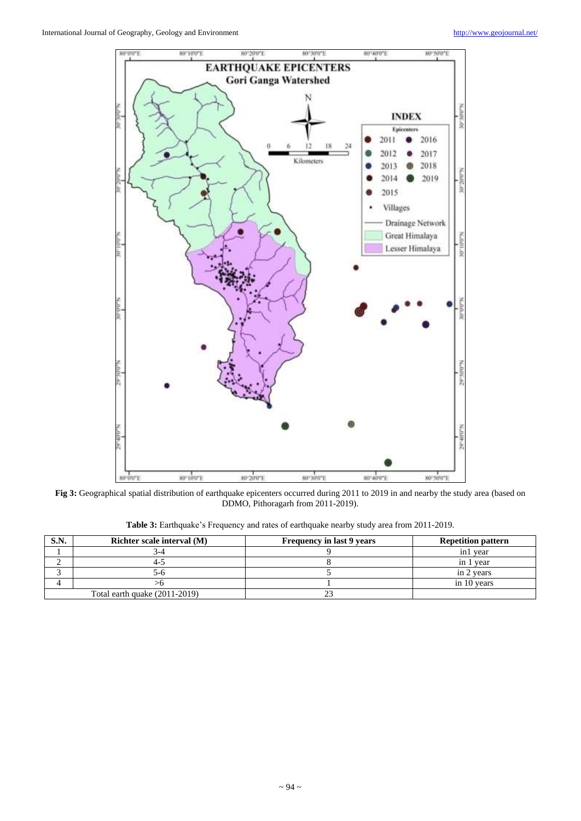

**Fig 3:** Geographical spatial distribution of earthquake epicenters occurred during 2011 to 2019 in and nearby the study area (based on DDMO, Pithoragarh from 2011-2019).

| <b>Table 3:</b> Earthquake's Frequency and rates of earthquake nearby study area from 2011-2019. |  |  |
|--------------------------------------------------------------------------------------------------|--|--|
|                                                                                                  |  |  |

| <b>S.N.</b> | Richter scale interval (M)      | <b>Frequency in last 9 years</b> | <b>Repetition pattern</b> |
|-------------|---------------------------------|----------------------------------|---------------------------|
|             |                                 |                                  | in1 year                  |
|             |                                 |                                  | in 1 year                 |
|             |                                 |                                  | in 2 years                |
|             |                                 |                                  | in 10 years               |
|             | Total earth quake $(2011-2019)$ |                                  |                           |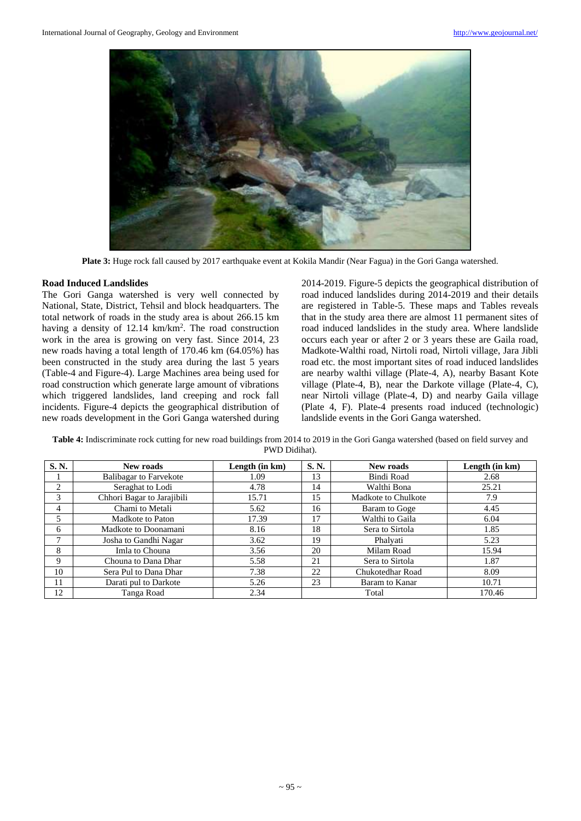

Plate 3: Huge rock fall caused by 2017 earthquake event at Kokila Mandir (Near Fagua) in the Gori Ganga watershed.

### **Road Induced Landslides**

The Gori Ganga watershed is very well connected by National, State, District, Tehsil and block headquarters. The total network of roads in the study area is about 266.15 km having a density of 12.14 km/km<sup>2</sup>. The road construction work in the area is growing on very fast. Since 2014, 23 new roads having a total length of 170.46 km (64.05%) has been constructed in the study area during the last 5 years (Table-4 and Figure-4). Large Machines area being used for road construction which generate large amount of vibrations which triggered landslides, land creeping and rock fall incidents. Figure-4 depicts the geographical distribution of new roads development in the Gori Ganga watershed during 2014-2019. Figure-5 depicts the geographical distribution of road induced landslides during 2014-2019 and their details are registered in Table-5. These maps and Tables reveals that in the study area there are almost 11 permanent sites of road induced landslides in the study area. Where landslide occurs each year or after 2 or 3 years these are Gaila road, Madkote-Walthi road, Nirtoli road, Nirtoli village, Jara Jibli road etc. the most important sites of road induced landslides are nearby walthi village (Plate-4, A), nearby Basant Kote village (Plate-4, B), near the Darkote village (Plate-4, C), near Nirtoli village (Plate-4, D) and nearby Gaila village (Plate 4, F). Plate-4 presents road induced (technologic) landslide events in the Gori Ganga watershed.

| Table 4: Indiscriminate rock cutting for new road buildings from 2014 to 2019 in the Gori Ganga watershed (based on field survey and |
|--------------------------------------------------------------------------------------------------------------------------------------|
| PWD Didihat).                                                                                                                        |

| S. N.          | New roads                     | Length (in km) | S. N.                | New roads           | Length (in km) |
|----------------|-------------------------------|----------------|----------------------|---------------------|----------------|
|                | <b>Balibagar to Farvekote</b> | 1.09           | 13                   | <b>Bindi Road</b>   | 2.68           |
| $\mathfrak{D}$ | Seraghat to Lodi              | 4.78           | 14                   | Walthi Bona         | 25.21          |
| 3              | Chhori Bagar to Jarajibili    | 15.71          | 15                   | Madkote to Chulkote | 7.9            |
| 4              | Chami to Metali               | 5.62           | 16                   | Baram to Goge       | 4.45           |
|                | Madkote to Paton              | 17.39          | 17                   | Walthi to Gaila     | 6.04           |
| 6              | Madkote to Doonamani          | 8.16           | 18                   | Sera to Sirtola     | 1.85           |
|                | Josha to Gandhi Nagar         | 3.62           | 19                   | Phalyati            | 5.23           |
| 8              | 3.56<br>Imla to Chouna        |                | 20                   | Milam Road          | 15.94          |
| 9              | Chouna to Dana Dhar           | 5.58           | 21                   | Sera to Sirtola     | 1.87           |
| 10             | Sera Pul to Dana Dhar         | 7.38           | 22                   | Chukotedhar Road    | 8.09           |
| 11             | Darati pul to Darkote         | 5.26           | 23<br>Baram to Kanar |                     | 10.71          |
| 12             | Tanga Road                    | 2.34           |                      | Total               | 170.46         |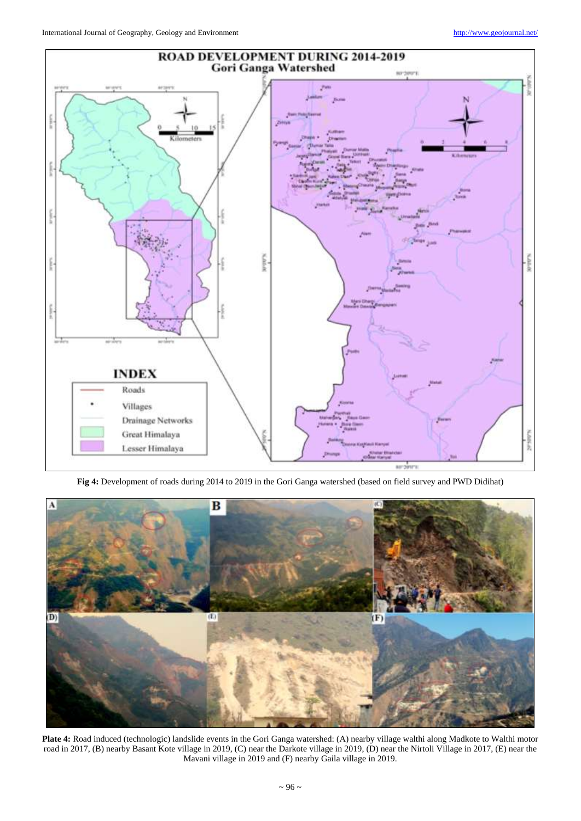

**Fig 4:** Development of roads during 2014 to 2019 in the Gori Ganga watershed (based on field survey and PWD Didihat)



**Plate 4:** Road induced (technologic) landslide events in the Gori Ganga watershed: (A) nearby village walthi along Madkote to Walthi motor road in 2017, (B) nearby Basant Kote village in 2019, (C) near the Darkote village in 2019, (D) near the Nirtoli Village in 2017, (E) near the Mavani village in 2019 and (F) nearby Gaila village in 2019.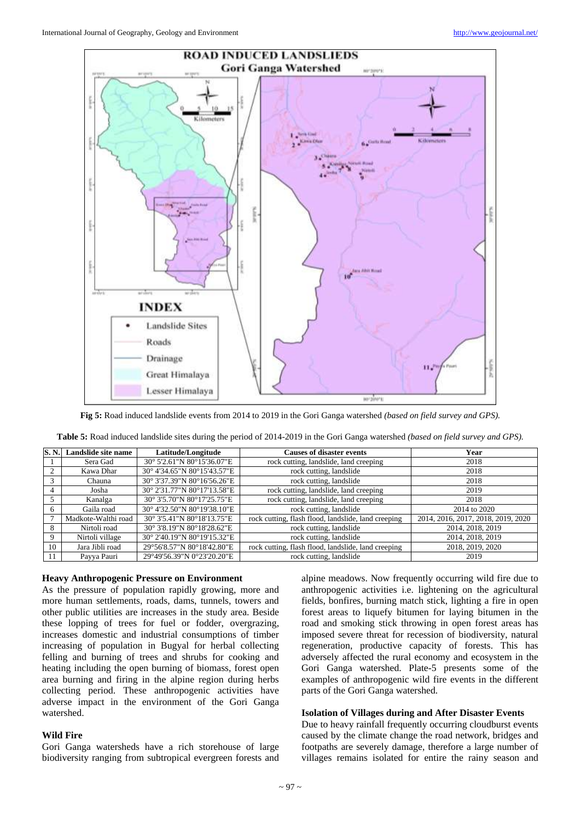

**Fig 5:** Road induced landslide events from 2014 to 2019 in the Gori Ganga watershed *(based on field survey and GPS).*

|    | S. N. Landslide site name<br>Latitude/Longitude |                             | <b>Causes of disaster events</b>                    | Year                               |
|----|-------------------------------------------------|-----------------------------|-----------------------------------------------------|------------------------------------|
|    | Sera Gad                                        | 30° 5'2.61"N 80°15'36.07"E  | rock cutting, landslide, land creeping              | 2018                               |
|    | Kawa Dhar                                       | 30° 4'34.65"N 80°15'43.57"E | rock cutting, landslide                             | 2018                               |
|    | Chauna                                          | 30° 3'37.39"N 80°16'56.26"E | rock cutting, landslide                             | 2018                               |
|    | Josha                                           | 30° 2'31.77"N 80°17'13.58"E | rock cutting, landslide, land creeping              | 2019                               |
|    | Kanalga                                         | 30° 3'5.70"N 80° 17'25.75"E | rock cutting, landslide, land creeping              | 2018                               |
| 6  | Gaila road                                      | 30° 4'32.50"N 80°19'38.10"E | rock cutting, landslide                             | 2014 to 2020                       |
|    | Madkote-Walthi road                             | 30° 3'5.41"N 80°18'13.75"E  | rock cutting, flash flood, landslide, land creeping | 2014, 2016, 2017, 2018, 2019, 2020 |
| 8  | Nirtoli road                                    | 30° 3'8.19"N 80°18'28.62"E  | rock cutting, landslide                             | 2014, 2018, 2019                   |
| 9  | Nirtoli village                                 | 30° 2'40.19"N 80°19'15.32"E | rock cutting, landslide                             | 2014, 2018, 2019                   |
| 10 | Jara Jibli road                                 | 29°56'8.57"N 80°18'42.80"E  | rock cutting, flash flood, landslide, land creeping | 2018, 2019, 2020                   |
|    | Payya Pauri                                     | 29°49'56.39"N 0°23'20.20"E  | rock cutting, landslide                             | 2019                               |

|  |  | Table 5: Road induced landslide sites during the period of 2014-2019 in the Gori Ganga watershed (based on field survey and GPS). |  |  |  |  |  |  |  |  |  |  |
|--|--|-----------------------------------------------------------------------------------------------------------------------------------|--|--|--|--|--|--|--|--|--|--|
|--|--|-----------------------------------------------------------------------------------------------------------------------------------|--|--|--|--|--|--|--|--|--|--|

## **Heavy Anthropogenic Pressure on Environment**

As the pressure of population rapidly growing, more and more human settlements, roads, dams, tunnels, towers and other public utilities are increases in the study area. Beside these lopping of trees for fuel or fodder, overgrazing, increases domestic and industrial consumptions of timber increasing of population in Bugyal for herbal collecting felling and burning of trees and shrubs for cooking and heating including the open burning of biomass, forest open area burning and firing in the alpine region during herbs collecting period. These anthropogenic activities have adverse impact in the environment of the Gori Ganga watershed.

### **Wild Fire**

Gori Ganga watersheds have a rich storehouse of large biodiversity ranging from subtropical evergreen forests and

alpine meadows. Now frequently occurring wild fire due to anthropogenic activities i.e. lightening on the agricultural fields, bonfires, burning match stick, lighting a fire in open forest areas to liquefy bitumen for laying bitumen in the road and smoking stick throwing in open forest areas has imposed severe threat for recession of biodiversity, natural regeneration, productive capacity of forests. This has adversely affected the rural economy and ecosystem in the Gori Ganga watershed. Plate-5 presents some of the examples of anthropogenic wild fire events in the different parts of the Gori Ganga watershed.

#### **Isolation of Villages during and After Disaster Events**

Due to heavy rainfall frequently occurring cloudburst events caused by the climate change the road network, bridges and footpaths are severely damage, therefore a large number of villages remains isolated for entire the rainy season and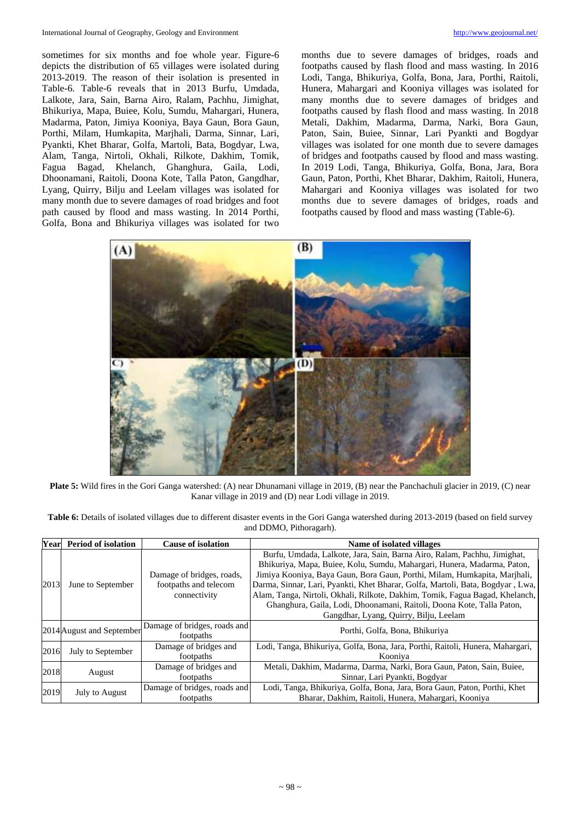sometimes for six months and foe whole year. Figure-6 depicts the distribution of 65 villages were isolated during 2013-2019. The reason of their isolation is presented in Table-6. Table-6 reveals that in 2013 Burfu, Umdada, Lalkote, Jara, Sain, Barna Airo, Ralam, Pachhu, Jimighat, Bhikuriya, Mapa, Buiee, Kolu, Sumdu, Mahargari, Hunera, Madarma, Paton, Jimiya Kooniya, Baya Gaun, Bora Gaun, Porthi, Milam, Humkapita, Marjhali, Darma, Sinnar, Lari, Pyankti, Khet Bharar, Golfa, Martoli, Bata, Bogdyar, Lwa, Alam, Tanga, Nirtoli, Okhali, Rilkote, Dakhim, Tomik, Fagua Bagad, Khelanch, Ghanghura, Gaila, Lodi, Dhoonamani, Raitoli, Doona Kote, Talla Paton, Gangdhar, Lyang, Quirry, Bilju and Leelam villages was isolated for many month due to severe damages of road bridges and foot path caused by flood and mass wasting. In 2014 Porthi, Golfa, Bona and Bhikuriya villages was isolated for two

months due to severe damages of bridges, roads and footpaths caused by flash flood and mass wasting. In 2016 Lodi, Tanga, Bhikuriya, Golfa, Bona, Jara, Porthi, Raitoli, Hunera, Mahargari and Kooniya villages was isolated for many months due to severe damages of bridges and footpaths caused by flash flood and mass wasting. In 2018 Metali, Dakhim, Madarma, Darma, Narki, Bora Gaun, Paton, Sain, Buiee, Sinnar, Lari Pyankti and Bogdyar villages was isolated for one month due to severe damages of bridges and footpaths caused by flood and mass wasting. In 2019 Lodi, Tanga, Bhikuriya, Golfa, Bona, Jara, Bora Gaun, Paton, Porthi, Khet Bharar, Dakhim, Raitoli, Hunera, Mahargari and Kooniya villages was isolated for two months due to severe damages of bridges, roads and footpaths caused by flood and mass wasting (Table-6).



**Plate 5:** Wild fires in the Gori Ganga watershed: (A) near Dhunamani village in 2019, (B) near the Panchachuli glacier in 2019, (C) near Kanar village in 2019 and (D) near Lodi village in 2019.

| Table 6: Details of isolated villages due to different disaster events in the Gori Ganga watershed during 2013-2019 (based on field survey |
|--------------------------------------------------------------------------------------------------------------------------------------------|
| and DDMO, Pithoragarh).                                                                                                                    |

| Year | <b>Period of isolation</b> | <b>Cause of isolation</b>    | Name of isolated villages                                                      |  |  |
|------|----------------------------|------------------------------|--------------------------------------------------------------------------------|--|--|
|      |                            |                              | Burfu, Umdada, Lalkote, Jara, Sain, Barna Airo, Ralam, Pachhu, Jimighat,       |  |  |
|      |                            |                              | Bhikuriya, Mapa, Buiee, Kolu, Sumdu, Mahargari, Hunera, Madarma, Paton,        |  |  |
|      |                            | Damage of bridges, roads,    | Jimiya Kooniya, Baya Gaun, Bora Gaun, Porthi, Milam, Humkapita, Marjhali,      |  |  |
| 2013 | June to September          | footpaths and telecom        | Darma, Sinnar, Lari, Pyankti, Khet Bharar, Golfa, Martoli, Bata, Bogdyar, Lwa, |  |  |
|      |                            | connectivity                 | Alam, Tanga, Nirtoli, Okhali, Rilkote, Dakhim, Tomik, Fagua Bagad, Khelanch,   |  |  |
|      |                            |                              | Ghanghura, Gaila, Lodi, Dhoonamani, Raitoli, Doona Kote, Talla Paton,          |  |  |
|      |                            |                              | Gangdhar, Lyang, Quirry, Bilju, Leelam                                         |  |  |
|      | 2014 August and September  | Damage of bridges, roads and | Porthi, Golfa, Bona, Bhikuriya                                                 |  |  |
|      |                            | footpaths                    |                                                                                |  |  |
| 2016 | July to September          | Damage of bridges and        | Lodi, Tanga, Bhikuriya, Golfa, Bona, Jara, Porthi, Raitoli, Hunera, Mahargari, |  |  |
|      |                            | footpaths                    | Kooniva                                                                        |  |  |
| 2018 | August                     | Damage of bridges and        | Metali, Dakhim, Madarma, Darma, Narki, Bora Gaun, Paton, Sain, Buiee,          |  |  |
|      |                            | footpaths                    | Sinnar, Lari Pyankti, Bogdyar                                                  |  |  |
| 2019 | July to August             | Damage of bridges, roads and | Lodi, Tanga, Bhikuriya, Golfa, Bona, Jara, Bora Gaun, Paton, Porthi, Khet      |  |  |
|      |                            | footpaths                    | Bharar, Dakhim, Raitoli, Hunera, Mahargari, Kooniya                            |  |  |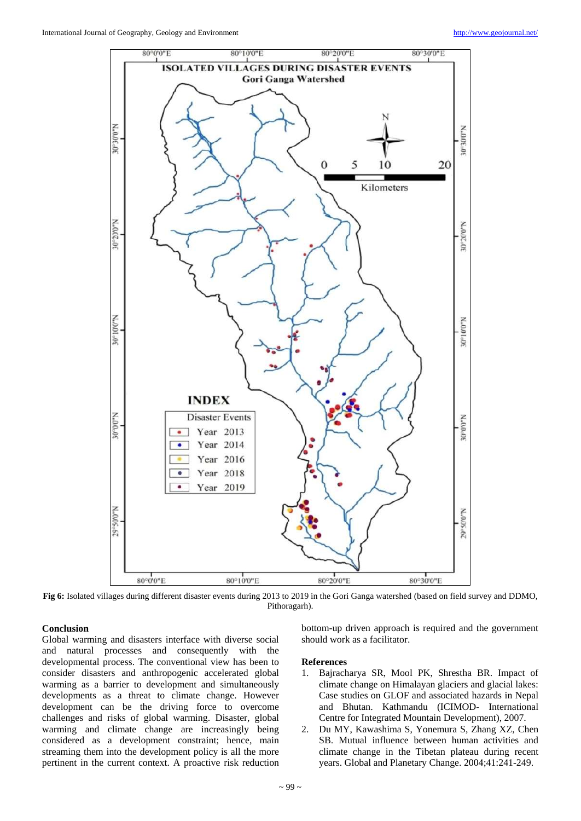

**Fig 6:** Isolated villages during different disaster events during 2013 to 2019 in the Gori Ganga watershed (based on field survey and DDMO, Pithoragarh).

### **Conclusion**

Global warming and disasters interface with diverse social and natural processes and consequently with the developmental process. The conventional view has been to consider disasters and anthropogenic accelerated global warming as a barrier to development and simultaneously developments as a threat to climate change. However development can be the driving force to overcome challenges and risks of global warming. Disaster, global warming and climate change are increasingly being considered as a development constraint; hence, main streaming them into the development policy is all the more pertinent in the current context. A proactive risk reduction

bottom-up driven approach is required and the government should work as a facilitator.

### **References**

- 1. Bajracharya SR, Mool PK, Shrestha BR. Impact of climate change on Himalayan glaciers and glacial lakes: Case studies on GLOF and associated hazards in Nepal and Bhutan. Kathmandu (ICIMOD- International Centre for Integrated Mountain Development), 2007.
- 2. Du MY, Kawashima S, Yonemura S, Zhang XZ, Chen SB. Mutual influence between human activities and climate change in the Tibetan plateau during recent years. Global and Planetary Change. 2004;41:241-249.